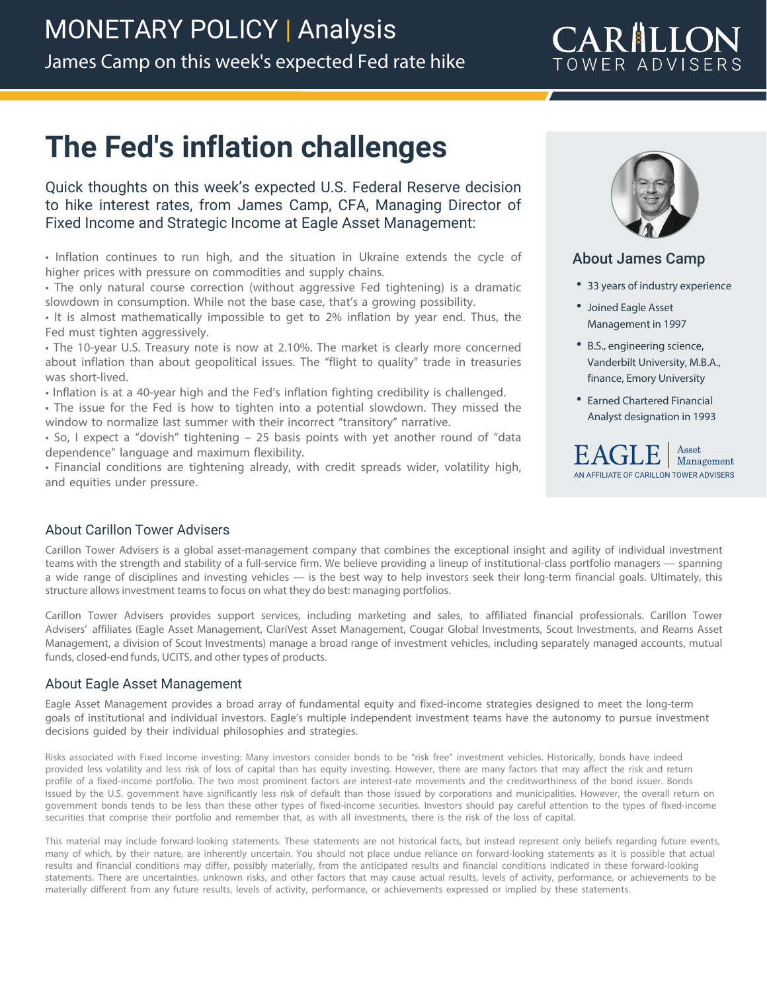## CARILLON TOWER ADVISERS

# **The Fed's inflation challenges**

Quick thoughts on this week's expected U.S. Federal Reserve decision to hike interest rates, from James Camp, CFA, Managing Director of Fixed Income and Strategic Income at Eagle Asset Management:

• Inflation continues to run high, and the situation in Ukraine extends the cycle of higher prices with pressure on commodities and supply chains.

• The only natural course correction (without aggressive Fed tightening) is a dramatic slowdown in consumption. While not the base case, that's a growing possibility.

• It is almost mathematically impossible to get to 2% inflation by year end. Thus, the Fed must tighten aggressively.

• The 10-year U.S. Treasury note is now at 2.10%. The market is clearly more concerned about inflation than about geopolitical issues. The "flight to quality" trade in treasuries was short-lived.

• Inflation is at a 40-year high and the Fed's inflation fighting credibility is challenged.

• The issue for the Fed is how to tighten into a potential slowdown. They missed the window to normalize last summer with their incorrect "transitory" narrative.

• So, I expect a "dovish" tightening – 25 basis points with yet another round of "data dependence" language and maximum flexibility.

• Financial conditions are tightening already, with credit spreads wider, volatility high, and equities under pressure.



#### About James Camp

- **•** 33 years of industry experience
- **•** Joined Eagle Asset Management in 1997
- **•** B.S., engineering science, Vanderbilt University, M.B.A., finance, Emory University
- **•** Earned Chartered Financial Analyst designation in 1993



#### About Carillon Tower Advisers

Carillon Tower Advisers is a global asset-management company that combines the exceptional insight and agility of individual investment teams with the strength and stability of a full-service firm. We believe providing a lineup of institutional-class portfolio managers — spanning a wide range of disciplines and investing vehicles — is the best way to help investors seek their long-term financial goals. Ultimately, this structure allows investment teams to focus on what they do best: managing portfolios.

Carillon Tower Advisers provides support services, including marketing and sales, to affiliated financial professionals. Carillon Tower Advisers' affiliates (Eagle Asset Management, ClariVest Asset Management, Cougar Global Investments, Scout Investments, and Reams Asset Management, a division of Scout Investments) manage a broad range of investment vehicles, including separately managed accounts, mutual funds, closed-end funds, UCITS, and other types of products.

#### About Eagle Asset Management

Eagle Asset Management provides a broad array of fundamental equity and fixed-income strategies designed to meet the long-term goals of institutional and individual investors. Eagle's multiple independent investment teams have the autonomy to pursue investment decisions guided by their individual philosophies and strategies.

Risks associated with Fixed Income investing: Many investors consider bonds to be "risk free" investment vehicles. Historically, bonds have indeed provided less volatility and less risk of loss of capital than has equity investing. However, there are many factors that may affect the risk and return profile of a fixed-income portfolio. The two most prominent factors are interest-rate movements and the creditworthiness of the bond issuer. Bonds issued by the U.S. government have significantly less risk of default than those issued by corporations and municipalities. However, the overall return on government bonds tends to be less than these other types of fixed-income securities. Investors should pay careful attention to the types of fixed-income securities that comprise their portfolio and remember that, as with all investments, there is the risk of the loss of capital.

This material may include forward-looking statements. These statements are not historical facts, but instead represent only beliefs regarding future events, many of which, by their nature, are inherently uncertain. You should not place undue reliance on forward-looking statements as it is possible that actual results and financial conditions may differ, possibly materially, from the anticipated results and financial conditions indicated in these forward-looking statements. There are uncertainties, unknown risks, and other factors that may cause actual results, levels of activity, performance, or achievements to be materially different from any future results, levels of activity, performance, or achievements expressed or implied by these statements.